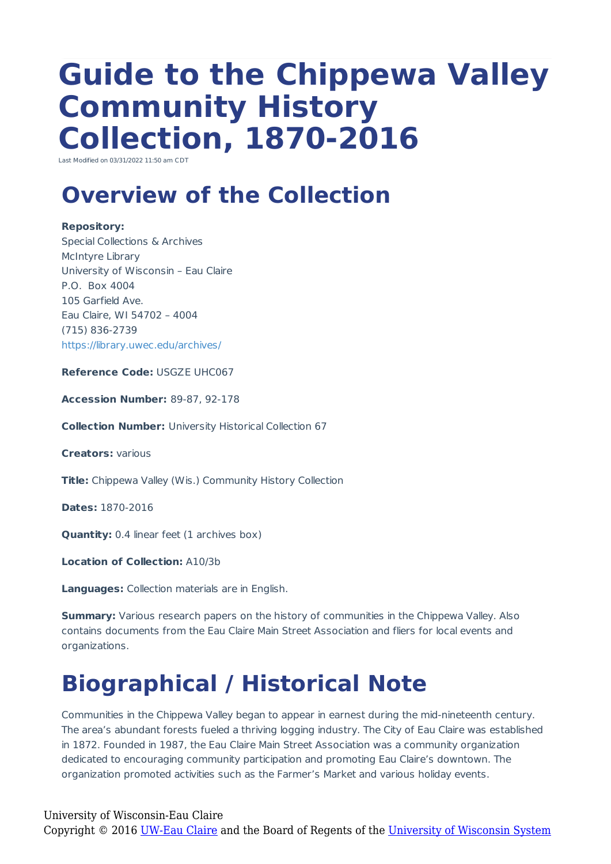# **Guide to the Chippewa Valley Community History Collection, 1870-2016**

Last Modified on 03/31/2022 11:50 am CDT

# **Overview of the Collection**

#### **Repository:**

Special Collections & Archives McIntyre Library University of Wisconsin – Eau Claire P.O. Box 4004 105 Garfield Ave. Eau Claire, WI 54702 – 4004 (715) 836-2739 https://library.uwec.edu/archives/

**Reference Code:** USGZE UHC067

**Accession Number:** 89-87, 92-178

**Collection Number:** University Historical Collection 67

**Creators:** various

**Title:** Chippewa Valley (Wis.) Community History Collection

**Dates:** 1870-2016

**Quantity:** 0.4 linear feet (1 archives box)

**Location of Collection:** A10/3b

**Languages:** Collection materials are in English.

**Summary:** Various research papers on the history of communities in the Chippewa Valley. Also contains documents from the Eau Claire Main Street Association and fliers for local events and organizations.

# **Biographical / Historical Note**

Communities in the Chippewa Valley began to appear in earnest during the mid-nineteenth century. The area's abundant forests fueled a thriving logging industry. The City of Eau Claire was established in 1872. Founded in 1987, the Eau Claire Main Street Association was a community organization dedicated to encouraging community participation and promoting Eau Claire's downtown. The organization promoted activities such as the Farmer's Market and various holiday events.

University of Wisconsin-Eau Claire Copyright © 2016 [UW-Eau Claire](http://www.uwec.edu) and the Board of Regents of the [University of Wisconsin System](http://www.uwsa.edu/)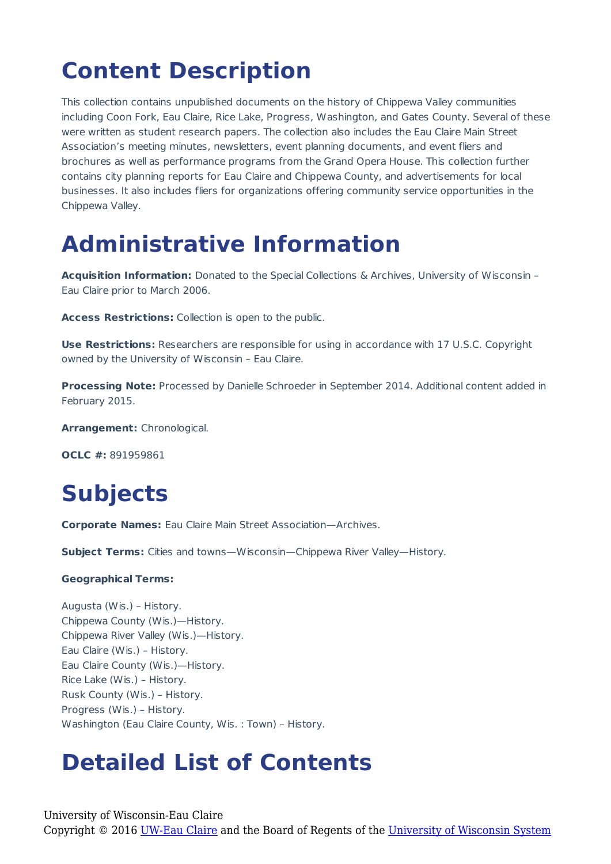# **Content Description**

This collection contains unpublished documents on the history of Chippewa Valley communities including Coon Fork, Eau Claire, Rice Lake, Progress, Washington, and Gates County. Several of these were written as student research papers. The collection also includes the Eau Claire Main Street Association's meeting minutes, newsletters, event planning documents, and event fliers and brochures as well as performance programs from the Grand Opera House. This collection further contains city planning reports for Eau Claire and Chippewa County, and advertisements for local businesses. It also includes fliers for organizations offering community service opportunities in the Chippewa Valley.

### **Administrative Information**

**Acquisition Information:** Donated to the Special Collections & Archives, University of Wisconsin – Eau Claire prior to March 2006.

**Access Restrictions:** Collection is open to the public.

**Use Restrictions:** Researchers are responsible for using in accordance with 17 U.S.C. Copyright owned by the University of Wisconsin – Eau Claire.

**Processing Note:** Processed by Danielle Schroeder in September 2014. Additional content added in February 2015.

**Arrangement:** Chronological.

**OCLC #:** 891959861

## **Subjects**

**Corporate Names:** Eau Claire Main Street Association—Archives.

**Subject Terms:** Cities and towns—Wisconsin—Chippewa River Valley—History.

#### **Geographical Terms:**

Augusta (Wis.) – History. Chippewa County (Wis.)—History. Chippewa River Valley (Wis.)—History. Eau Claire (Wis.) – History. Eau Claire County (Wis.)—History. Rice Lake (Wis.) – History. Rusk County (Wis.) – History. Progress (Wis.) – History. Washington (Eau Claire County, Wis. : Town) – History.

### **Detailed List of Contents**